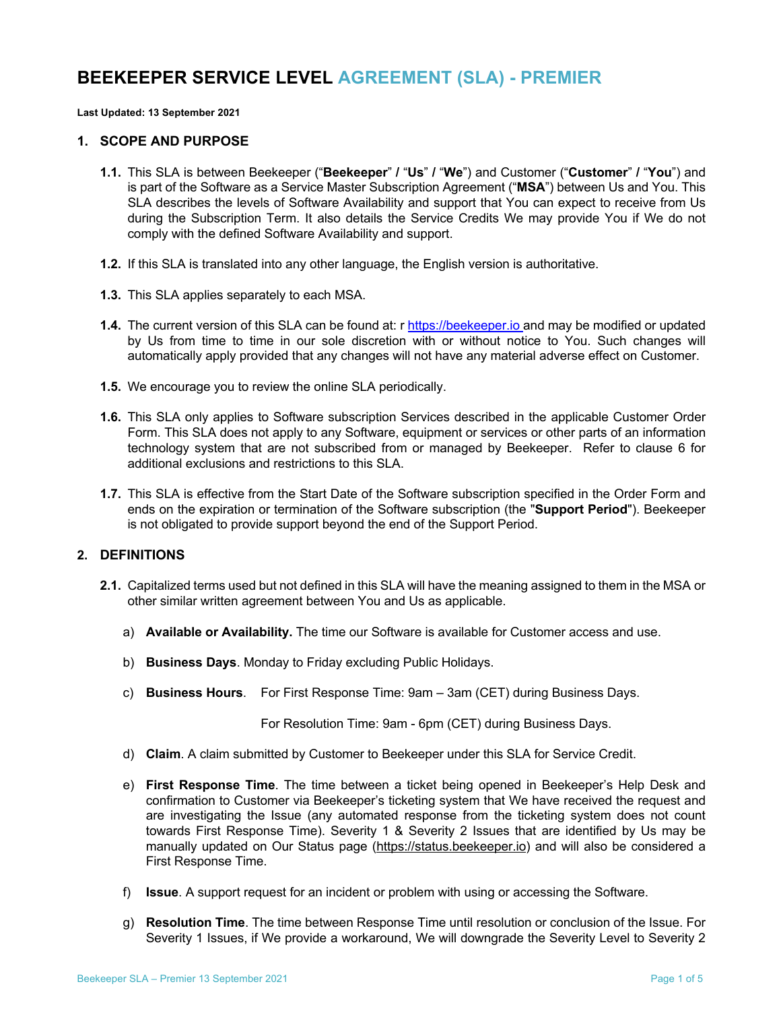# **BEEKEEPER SERVICE LEVEL AGREEMENT (SLA) - PREMIER**

**Last Updated: 13 September 2021**

#### **1. SCOPE AND PURPOSE**

- **1.1.** This SLA is between Beekeeper ("**Beekeeper**" **/** "**Us**" **/** "**We**") and Customer ("**Customer**" **/** "**You**") and is part of the Software as a Service Master Subscription Agreement ("**MSA**") between Us and You. This SLA describes the levels of Software Availability and support that You can expect to receive from Us during the Subscription Term. It also details the Service Credits We may provide You if We do not comply with the defined Software Availability and support.
- **1.2.** If this SLA is translated into any other language, the English version is authoritative.
- **1.3.** This SLA applies separately to each MSA.
- **1.4.** The current version of this SLA can be found at: r https://beekeeper.io and may be modified or updated by Us from time to time in our sole discretion with or without notice to You. Such changes will automatically apply provided that any changes will not have any material adverse effect on Customer.
- **1.5.** We encourage you to review the online SLA periodically.
- **1.6.** This SLA only applies to Software subscription Services described in the applicable Customer Order Form. This SLA does not apply to any Software, equipment or services or other parts of an information technology system that are not subscribed from or managed by Beekeeper. Refer to clause 6 for additional exclusions and restrictions to this SLA.
- **1.7.** This SLA is effective from the Start Date of the Software subscription specified in the Order Form and ends on the expiration or termination of the Software subscription (the "**Support Period**"). Beekeeper is not obligated to provide support beyond the end of the Support Period.

# **2. DEFINITIONS**

- **2.1.** Capitalized terms used but not defined in this SLA will have the meaning assigned to them in the MSA or other similar written agreement between You and Us as applicable.
	- a) **Available or Availability.** The time our Software is available for Customer access and use.
	- b) **Business Days**. Monday to Friday excluding Public Holidays.
	- c) **Business Hours**. For First Response Time: 9am 3am (CET) during Business Days.

For Resolution Time: 9am - 6pm (CET) during Business Days.

- d) **Claim**. A claim submitted by Customer to Beekeeper under this SLA for Service Credit.
- e) **First Response Time**. The time between a ticket being opened in Beekeeper's Help Desk and confirmation to Customer via Beekeeper's ticketing system that We have received the request and are investigating the Issue (any automated response from the ticketing system does not count towards First Response Time). Severity 1 & Severity 2 Issues that are identified by Us may be manually updated on Our Status page (https://status.beekeeper.io) and will also be considered a First Response Time.
- f) **Issue**. A support request for an incident or problem with using or accessing the Software.
- g) **Resolution Time**. The time between Response Time until resolution or conclusion of the Issue. For Severity 1 Issues, if We provide a workaround, We will downgrade the Severity Level to Severity 2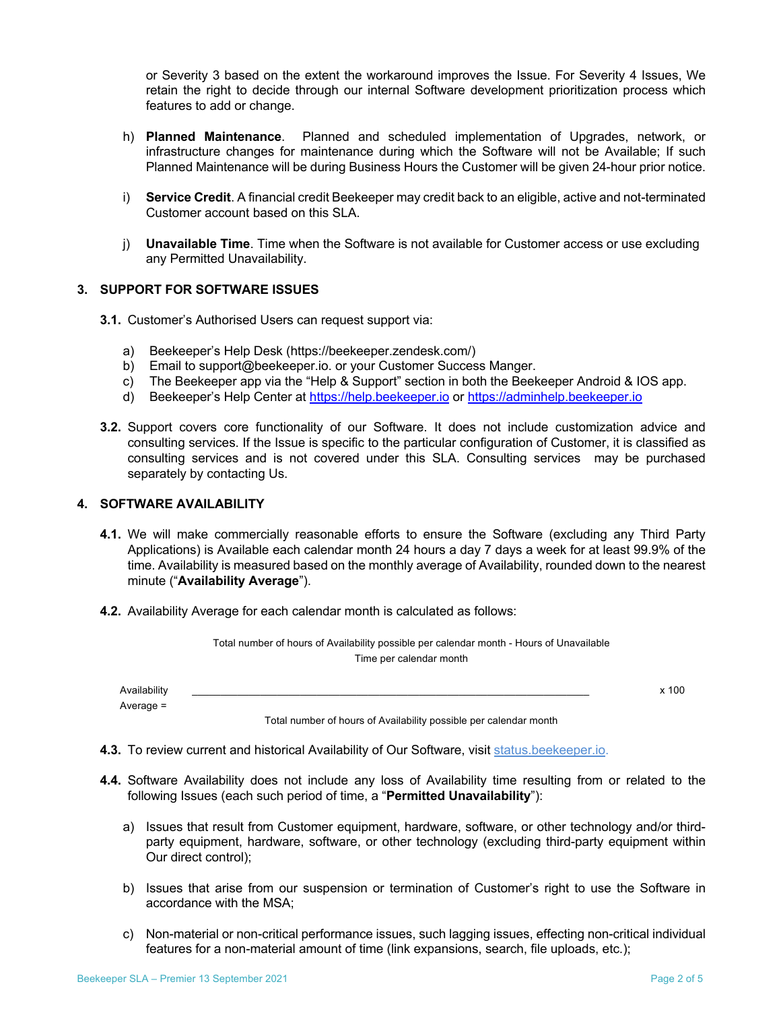or Severity 3 based on the extent the workaround improves the Issue. For Severity 4 Issues, We retain the right to decide through our internal Software development prioritization process which features to add or change.

- h) **Planned Maintenance**. Planned and scheduled implementation of Upgrades, network, or infrastructure changes for maintenance during which the Software will not be Available; If such Planned Maintenance will be during Business Hours the Customer will be given 24-hour prior notice.
- i) **Service Credit**. A financial credit Beekeeper may credit back to an eligible, active and not-terminated Customer account based on this SLA.
- j) **Unavailable Time**. Time when the Software is not available for Customer access or use excluding any Permitted Unavailability.

#### **3. SUPPORT FOR SOFTWARE ISSUES**

- **3.1.** Customer's Authorised Users can request support via:
	- a) Beekeeper's Help Desk (https://beekeeper.zendesk.com/)
	- b) Email to support@beekeeper.io. or your Customer Success Manger.
	- c) The Beekeeper app via the "Help & Support" section in both the Beekeeper Android & IOS app.
	- d) Beekeeper's Help Center at https://help.beekeeper.io or https://adminhelp.beekeeper.io
- **3.2.** Support covers core functionality of our Software. It does not include customization advice and consulting services. If the Issue is specific to the particular configuration of Customer, it is classified as consulting services and is not covered under this SLA. Consulting services may be purchased separately by contacting Us.

## **4. SOFTWARE AVAILABILITY**

- **4.1.** We will make commercially reasonable efforts to ensure the Software (excluding any Third Party Applications) is Available each calendar month 24 hours a day 7 days a week for at least 99.9% of the time. Availability is measured based on the monthly average of Availability, rounded down to the nearest minute ("**Availability Average**").
- **4.2.** Availability Average for each calendar month is calculated as follows:

|                             | Total number of hours of Availability possible per calendar month - Hours of Unavailable<br>Time per calendar month |       |
|-----------------------------|---------------------------------------------------------------------------------------------------------------------|-------|
| Availability<br>Average $=$ |                                                                                                                     | x 100 |
|                             | Total number of hours of Availability possible per calendar month                                                   |       |

**4.3.** To review current and historical Availability of Our Software, visit status.beekeeper.io.

- **4.4.** Software Availability does not include any loss of Availability time resulting from or related to the following Issues (each such period of time, a "**Permitted Unavailability**"):
	- a) Issues that result from Customer equipment, hardware, software, or other technology and/or thirdparty equipment, hardware, software, or other technology (excluding third-party equipment within Our direct control);
	- b) Issues that arise from our suspension or termination of Customer's right to use the Software in accordance with the MSA;
	- c) Non-material or non-critical performance issues, such lagging issues, effecting non-critical individual features for a non-material amount of time (link expansions, search, file uploads, etc.);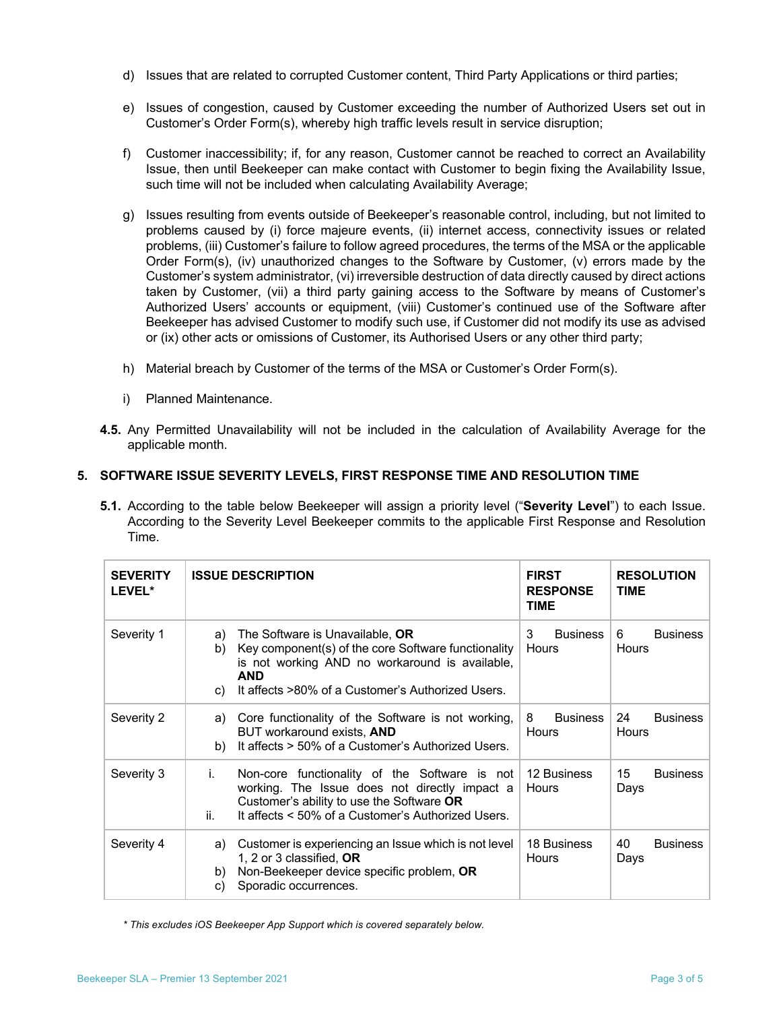- d) Issues that are related to corrupted Customer content, Third Party Applications or third parties;
- e) Issues of congestion, caused by Customer exceeding the number of Authorized Users set out in Customer's Order Form(s), whereby high traffic levels result in service disruption;
- f) Customer inaccessibility; if, for any reason, Customer cannot be reached to correct an Availability Issue, then until Beekeeper can make contact with Customer to begin fixing the Availability Issue, such time will not be included when calculating Availability Average;
- g) Issues resulting from events outside of Beekeeper's reasonable control, including, but not limited to problems caused by (i) force majeure events, (ii) internet access, connectivity issues or related problems, (iii) Customer's failure to follow agreed procedures, the terms of the MSA or the applicable Order Form(s), (iv) unauthorized changes to the Software by Customer, (v) errors made by the Customer's system administrator, (vi) irreversible destruction of data directly caused by direct actions taken by Customer, (vii) a third party gaining access to the Software by means of Customer's Authorized Users' accounts or equipment, (viii) Customer's continued use of the Software after Beekeeper has advised Customer to modify such use, if Customer did not modify its use as advised or (ix) other acts or omissions of Customer, its Authorised Users or any other third party;
- h) Material breach by Customer of the terms of the MSA or Customer's Order Form(s).
- i) Planned Maintenance.
- **4.5.** Any Permitted Unavailability will not be included in the calculation of Availability Average for the applicable month.

## **5. SOFTWARE ISSUE SEVERITY LEVELS, FIRST RESPONSE TIME AND RESOLUTION TIME**

**5.1.** According to the table below Beekeeper will assign a priority level ("**Severity Level**") to each Issue. According to the Severity Level Beekeeper commits to the applicable First Response and Resolution Time.

| <b>SEVERITY</b><br>LEVEL* | <b>ISSUE DESCRIPTION</b>                                                                                                                                                                                               | <b>FIRST</b><br><b>RESPONSE</b><br><b>TIME</b> | <b>RESOLUTION</b><br><b>TIME</b> |
|---------------------------|------------------------------------------------------------------------------------------------------------------------------------------------------------------------------------------------------------------------|------------------------------------------------|----------------------------------|
| Severity 1                | The Software is Unavailable, OR<br>a)<br>Key component(s) of the core Software functionality<br>b)<br>is not working AND no workaround is available,<br>AND<br>It affects >80% of a Customer's Authorized Users.<br>C) | 3<br><b>Business</b><br><b>Hours</b>           | 6<br><b>Business</b><br>Hours    |
| Severity 2                | Core functionality of the Software is not working,<br>a)<br>BUT workaround exists, AND<br>It affects > 50% of a Customer's Authorized Users.<br>b)                                                                     | 8<br><b>Business</b><br>Hours                  | 24<br><b>Business</b><br>Hours   |
| Severity 3                | i.<br>Non-core functionality of the Software is not<br>working. The Issue does not directly impact a<br>Customer's ability to use the Software OR<br>ii.<br>It affects < 50% of a Customer's Authorized Users.         | 12 Business<br>Hours                           | 15<br><b>Business</b><br>Days    |
| Severity 4                | Customer is experiencing an Issue which is not level<br>a)<br>1, 2 or 3 classified, OR<br>Non-Beekeeper device specific problem, OR<br>b)<br>Sporadic occurrences.<br>C)                                               | 18 Business<br>Hours                           | 40<br><b>Business</b><br>Days    |

*\* This excludes iOS Beekeeper App Support which is covered separately below.*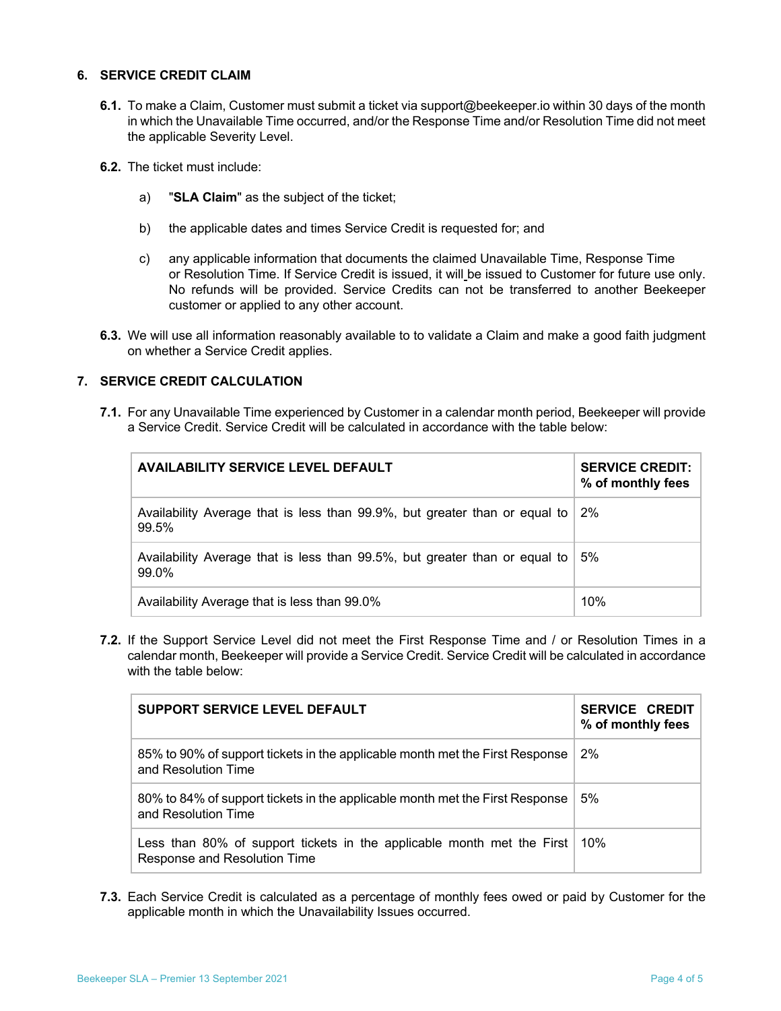#### **6. SERVICE CREDIT CLAIM**

- **6.1.** To make a Claim, Customer must submit a ticket via support@beekeeper.io within 30 days of the month in which the Unavailable Time occurred, and/or the Response Time and/or Resolution Time did not meet the applicable Severity Level.
- **6.2.** The ticket must include:
	- a) "**SLA Claim**" as the subject of the ticket;
	- b) the applicable dates and times Service Credit is requested for; and
	- c) any applicable information that documents the claimed Unavailable Time, Response Time or Resolution Time. If Service Credit is issued, it will be issued to Customer for future use only. No refunds will be provided. Service Credits can not be transferred to another Beekeeper customer or applied to any other account.
- **6.3.** We will use all information reasonably available to to validate a Claim and make a good faith judgment on whether a Service Credit applies.

## **7. SERVICE CREDIT CALCULATION**

**7.1.** For any Unavailable Time experienced by Customer in a calendar month period, Beekeeper will provide a Service Credit. Service Credit will be calculated in accordance with the table below:

| <b>AVAILABILITY SERVICE LEVEL DEFAULT</b>                                           | <b>SERVICE CREDIT:</b><br>% of monthly fees |
|-------------------------------------------------------------------------------------|---------------------------------------------|
| Availability Average that is less than 99.9%, but greater than or equal to<br>99.5% | 2%                                          |
| Availability Average that is less than 99.5%, but greater than or equal to<br>99.0% | 5%                                          |
| Availability Average that is less than 99.0%                                        | 10%                                         |

**7.2.** If the Support Service Level did not meet the First Response Time and / or Resolution Times in a calendar month, Beekeeper will provide a Service Credit. Service Credit will be calculated in accordance with the table below:

| SUPPORT SERVICE LEVEL DEFAULT                                                                          | <b>SERVICE CREDIT</b><br>% of monthly fees |
|--------------------------------------------------------------------------------------------------------|--------------------------------------------|
| 85% to 90% of support tickets in the applicable month met the First Response<br>and Resolution Time    | 2%                                         |
| 80% to 84% of support tickets in the applicable month met the First Response<br>and Resolution Time    | 5%                                         |
| Less than 80% of support tickets in the applicable month met the First<br>Response and Resolution Time | $10\%$                                     |

**7.3.** Each Service Credit is calculated as a percentage of monthly fees owed or paid by Customer for the applicable month in which the Unavailability Issues occurred.